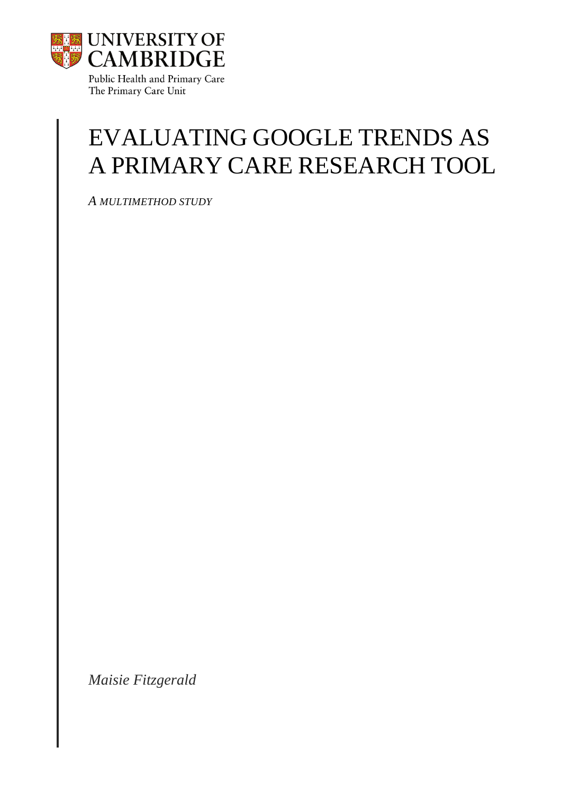

The Primary Care Unit

# EVALUATING GOOGLE TRENDS AS A PRIMARY CARE RESEARCH TOOL

*A MULTIMETHOD STUDY*

*Maisie Fitzgerald*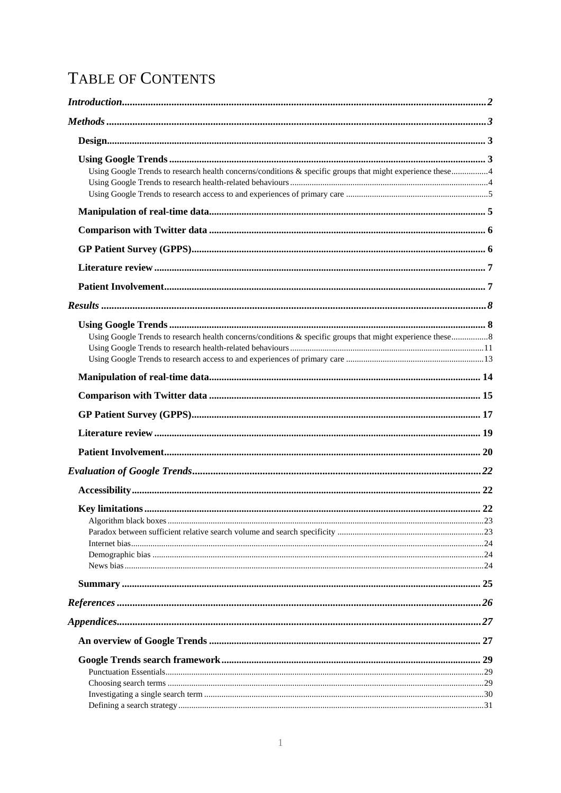# TABLE OF CONTENTS

| Introduction 1, 2                                                                                          |  |
|------------------------------------------------------------------------------------------------------------|--|
|                                                                                                            |  |
|                                                                                                            |  |
|                                                                                                            |  |
| Using Google Trends to research health concerns/conditions & specific groups that might experience these 4 |  |
|                                                                                                            |  |
|                                                                                                            |  |
|                                                                                                            |  |
|                                                                                                            |  |
|                                                                                                            |  |
|                                                                                                            |  |
|                                                                                                            |  |
|                                                                                                            |  |
|                                                                                                            |  |
| Using Google Trends to research health concerns/conditions & specific groups that might experience these 8 |  |
|                                                                                                            |  |
|                                                                                                            |  |
|                                                                                                            |  |
|                                                                                                            |  |
|                                                                                                            |  |
|                                                                                                            |  |
|                                                                                                            |  |
|                                                                                                            |  |
|                                                                                                            |  |
|                                                                                                            |  |
|                                                                                                            |  |
|                                                                                                            |  |
|                                                                                                            |  |
|                                                                                                            |  |
|                                                                                                            |  |
|                                                                                                            |  |
|                                                                                                            |  |
|                                                                                                            |  |
|                                                                                                            |  |
|                                                                                                            |  |
|                                                                                                            |  |
|                                                                                                            |  |
|                                                                                                            |  |
|                                                                                                            |  |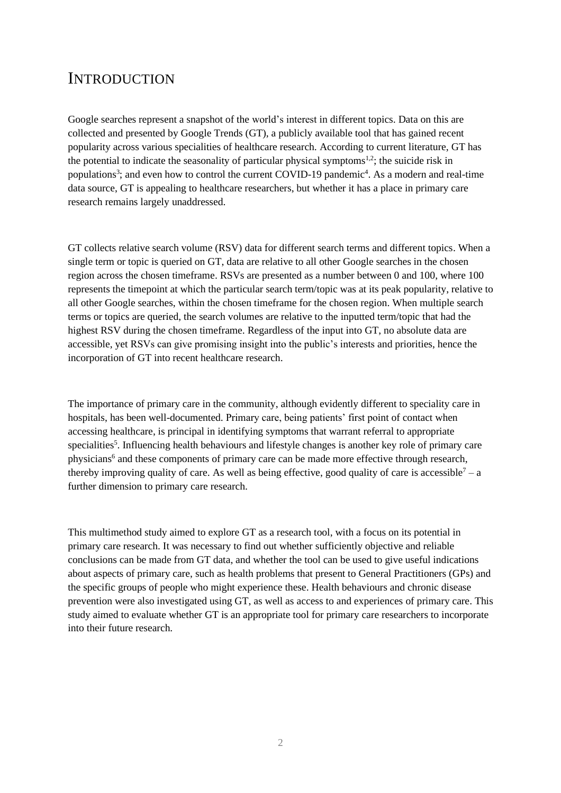# <span id="page-2-0"></span>**INTRODUCTION**

Google searches represent a snapshot of the world's interest in different topics. Data on this are collected and presented by Google Trends (GT), a publicly available tool that has gained recent popularity across various specialities of healthcare research. According to current literature, GT has the potential to indicate the seasonality of particular physical symptoms<sup>1,2</sup>; the suicide risk in populations<sup>3</sup>; and even how to control the current COVID-19 pandemic<sup>4</sup>. As a modern and real-time data source, GT is appealing to healthcare researchers, but whether it has a place in primary care research remains largely unaddressed.

GT collects relative search volume (RSV) data for different search terms and different topics. When a single term or topic is queried on GT, data are relative to all other Google searches in the chosen region across the chosen timeframe. RSVs are presented as a number between 0 and 100, where 100 represents the timepoint at which the particular search term/topic was at its peak popularity, relative to all other Google searches, within the chosen timeframe for the chosen region. When multiple search terms or topics are queried, the search volumes are relative to the inputted term/topic that had the highest RSV during the chosen timeframe. Regardless of the input into GT, no absolute data are accessible, yet RSVs can give promising insight into the public's interests and priorities, hence the incorporation of GT into recent healthcare research.

The importance of primary care in the community, although evidently different to speciality care in hospitals, has been well-documented. Primary care, being patients' first point of contact when accessing healthcare, is principal in identifying symptoms that warrant referral to appropriate specialities<sup>5</sup>. Influencing health behaviours and lifestyle changes is another key role of primary care physicians<sup>6</sup> and these components of primary care can be made more effective through research, thereby improving quality of care. As well as being effective, good quality of care is accessible<sup>7</sup> – a further dimension to primary care research.

This multimethod study aimed to explore GT as a research tool, with a focus on its potential in primary care research. It was necessary to find out whether sufficiently objective and reliable conclusions can be made from GT data, and whether the tool can be used to give useful indications about aspects of primary care, such as health problems that present to General Practitioners (GPs) and the specific groups of people who might experience these. Health behaviours and chronic disease prevention were also investigated using GT, as well as access to and experiences of primary care. This study aimed to evaluate whether GT is an appropriate tool for primary care researchers to incorporate into their future research.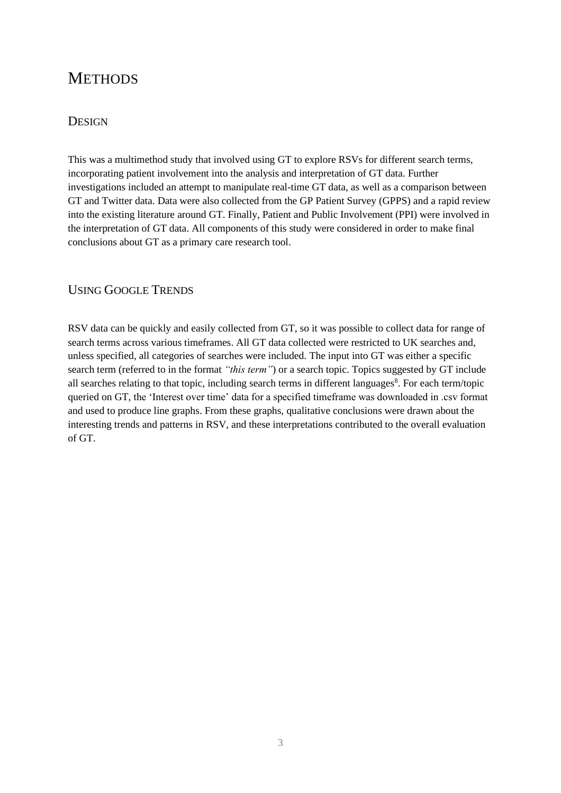# <span id="page-3-0"></span>**METHODS**

# <span id="page-3-1"></span>**DESIGN**

This was a multimethod study that involved using GT to explore RSVs for different search terms, incorporating patient involvement into the analysis and interpretation of GT data. Further investigations included an attempt to manipulate real-time GT data, as well as a comparison between GT and Twitter data. Data were also collected from the GP Patient Survey (GPPS) and a rapid review into the existing literature around GT. Finally, Patient and Public Involvement (PPI) were involved in the interpretation of GT data. All components of this study were considered in order to make final conclusions about GT as a primary care research tool.

# <span id="page-3-2"></span>USING GOOGLE TRENDS

<span id="page-3-3"></span>RSV data can be quickly and easily collected from GT, so it was possible to collect data for range of search terms across various timeframes. All GT data collected were restricted to UK searches and, unless specified, all categories of searches were included. The input into GT was either a specific search term (referred to in the format *"this term"*) or a search topic. Topics suggested by GT include all searches relating to that topic, including search terms in different languages<sup>8</sup>. For each term/topic queried on GT, the 'Interest over time' data for a specified timeframe was downloaded in .csv format and used to produce line graphs. From these graphs, qualitative conclusions were drawn about the interesting trends and patterns in RSV, and these interpretations contributed to the overall evaluation of GT.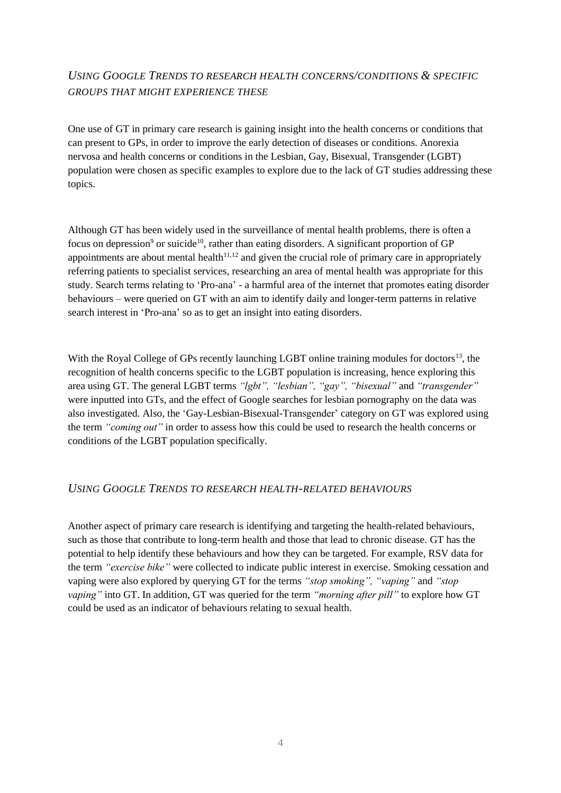# *USING GOOGLE TRENDS TO RESEARCH HEALTH CONCERNS/CONDITIONS & SPECIFIC GROUPS THAT MIGHT EXPERIENCE THESE*

One use of GT in primary care research is gaining insight into the health concerns or conditions that can present to GPs, in order to improve the early detection of diseases or conditions. Anorexia nervosa and health concerns or conditions in the Lesbian, Gay, Bisexual, Transgender (LGBT) population were chosen as specific examples to explore due to the lack of GT studies addressing these topics.

Although GT has been widely used in the surveillance of mental health problems, there is often a focus on depression<sup>9</sup> or suicide<sup>10</sup>, rather than eating disorders. A significant proportion of GP appointments are about mental health<sup>11,12</sup> and given the crucial role of primary care in appropriately referring patients to specialist services, researching an area of mental health was appropriate for this study. Search terms relating to 'Pro-ana' - a harmful area of the internet that promotes eating disorder behaviours – were queried on GT with an aim to identify daily and longer-term patterns in relative search interest in 'Pro-ana' so as to get an insight into eating disorders.

With the Royal College of GPs recently launching LGBT online training modules for doctors<sup>13</sup>, the recognition of health concerns specific to the LGBT population is increasing, hence exploring this area using GT. The general LGBT terms *"lgbt", "lesbian", "gay", "bisexual"* and *"transgender"* were inputted into GTs, and the effect of Google searches for lesbian pornography on the data was also investigated. Also, the 'Gay-Lesbian-Bisexual-Transgender' category on GT was explored using the term *"coming out"* in order to assess how this could be used to research the health concerns or conditions of the LGBT population specifically.

# <span id="page-4-0"></span>*USING GOOGLE TRENDS TO RESEARCH HEALTH-RELATED BEHAVIOURS*

<span id="page-4-1"></span>Another aspect of primary care research is identifying and targeting the health-related behaviours, such as those that contribute to long-term health and those that lead to chronic disease. GT has the potential to help identify these behaviours and how they can be targeted. For example, RSV data for the term *"exercise bike"* were collected to indicate public interest in exercise. Smoking cessation and vaping were also explored by querying GT for the terms *"stop smoking", "vaping"* and *"stop vaping"* into GT. In addition, GT was queried for the term *"morning after pill"* to explore how GT could be used as an indicator of behaviours relating to sexual health.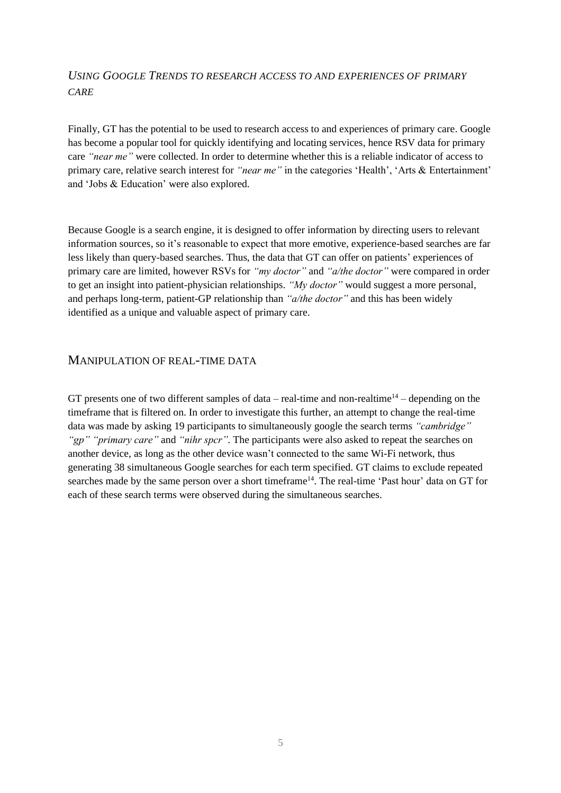# *USING GOOGLE TRENDS TO RESEARCH ACCESS TO AND EXPERIENCES OF PRIMARY CARE*

Finally, GT has the potential to be used to research access to and experiences of primary care. Google has become a popular tool for quickly identifying and locating services, hence RSV data for primary care *"near me"* were collected. In order to determine whether this is a reliable indicator of access to primary care, relative search interest for *"near me"* in the categories 'Health', 'Arts & Entertainment' and 'Jobs & Education' were also explored.

Because Google is a search engine, it is designed to offer information by directing users to relevant information sources, so it's reasonable to expect that more emotive, experience-based searches are far less likely than query-based searches. Thus, the data that GT can offer on patients' experiences of primary care are limited, however RSVs for *"my doctor"* and *"a/the doctor"* were compared in order to get an insight into patient-physician relationships. *"My doctor"* would suggest a more personal, and perhaps long-term, patient-GP relationship than *"a/the doctor"* and this has been widely identified as a unique and valuable aspect of primary care.

# <span id="page-5-0"></span>MANIPULATION OF REAL-TIME DATA

<span id="page-5-1"></span>GT presents one of two different samples of data – real-time and non-realtime<sup>14</sup> – depending on the timeframe that is filtered on. In order to investigate this further, an attempt to change the real-time data was made by asking 19 participants to simultaneously google the search terms *"cambridge" "gp" "primary care"* and *"nihr spcr".* The participants were also asked to repeat the searches on another device, as long as the other device wasn't connected to the same Wi-Fi network, thus generating 38 simultaneous Google searches for each term specified. GT claims to exclude repeated searches made by the same person over a short timeframe<sup>14</sup>. The real-time 'Past hour' data on GT for each of these search terms were observed during the simultaneous searches.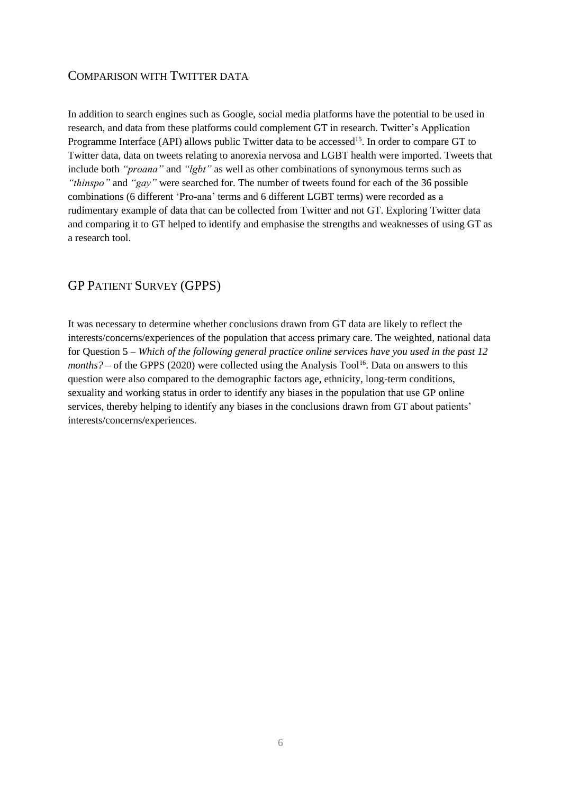# COMPARISON WITH TWITTER DATA

In addition to search engines such as Google, social media platforms have the potential to be used in research, and data from these platforms could complement GT in research. Twitter's Application Programme Interface (API) allows public Twitter data to be accessed<sup>15</sup>. In order to compare GT to Twitter data, data on tweets relating to anorexia nervosa and LGBT health were imported. Tweets that include both *"proana"* and *"lgbt"* as well as other combinations of synonymous terms such as *"thinspo"* and *"gay"* were searched for. The number of tweets found for each of the 36 possible combinations (6 different 'Pro-ana' terms and 6 different LGBT terms) were recorded as a rudimentary example of data that can be collected from Twitter and not GT. Exploring Twitter data and comparing it to GT helped to identify and emphasise the strengths and weaknesses of using GT as a research tool.

# <span id="page-6-0"></span>GP PATIENT SURVEY (GPPS)

It was necessary to determine whether conclusions drawn from GT data are likely to reflect the interests/concerns/experiences of the population that access primary care. The weighted, national data for Question 5 – *Which of the following general practice online services have you used in the past 12*   $months? - of the GPPS (2020) were collected using the Analysis Tool<sup>16</sup>. Data on answers to this$ question were also compared to the demographic factors age, ethnicity, long-term conditions, sexuality and working status in order to identify any biases in the population that use GP online services, thereby helping to identify any biases in the conclusions drawn from GT about patients' interests/concerns/experiences.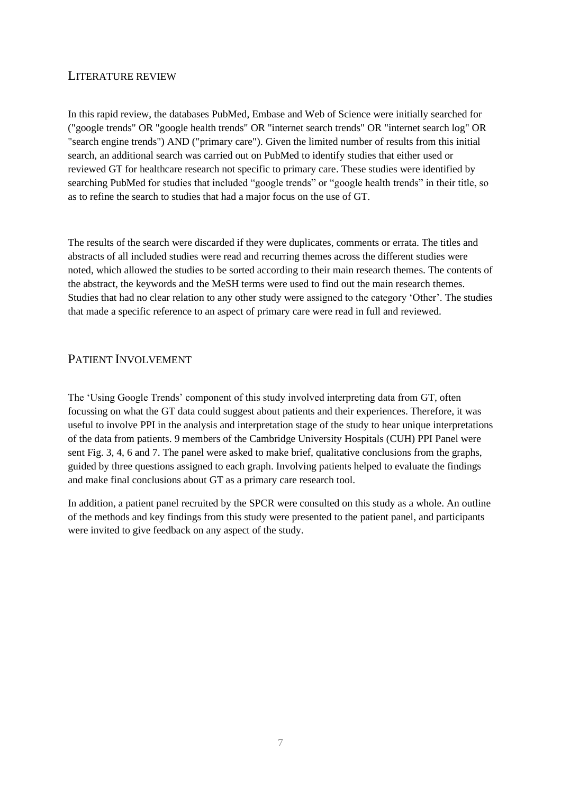# <span id="page-7-0"></span>LITERATURE REVIEW

In this rapid review, the databases PubMed, Embase and Web of Science were initially searched for ("google trends" OR "google health trends" OR "internet search trends" OR "internet search log" OR "search engine trends") AND ("primary care"). Given the limited number of results from this initial search, an additional search was carried out on PubMed to identify studies that either used or reviewed GT for healthcare research not specific to primary care. These studies were identified by searching PubMed for studies that included "google trends" or "google health trends" in their title, so as to refine the search to studies that had a major focus on the use of GT.

The results of the search were discarded if they were duplicates, comments or errata. The titles and abstracts of all included studies were read and recurring themes across the different studies were noted, which allowed the studies to be sorted according to their main research themes. The contents of the abstract, the keywords and the MeSH terms were used to find out the main research themes. Studies that had no clear relation to any other study were assigned to the category 'Other'. The studies that made a specific reference to an aspect of primary care were read in full and reviewed.

# <span id="page-7-1"></span>PATIENT INVOLVEMENT

The 'Using Google Trends' component of this study involved interpreting data from GT, often focussing on what the GT data could suggest about patients and their experiences. Therefore, it was useful to involve PPI in the analysis and interpretation stage of the study to hear unique interpretations of the data from patients. 9 members of the Cambridge University Hospitals (CUH) PPI Panel were sent Fig. 3, 4, 6 and 7. The panel were asked to make brief, qualitative conclusions from the graphs, guided by three questions assigned to each graph. Involving patients helped to evaluate the findings and make final conclusions about GT as a primary care research tool.

In addition, a patient panel recruited by the SPCR were consulted on this study as a whole. An outline of the methods and key findings from this study were presented to the patient panel, and participants were invited to give feedback on any aspect of the study.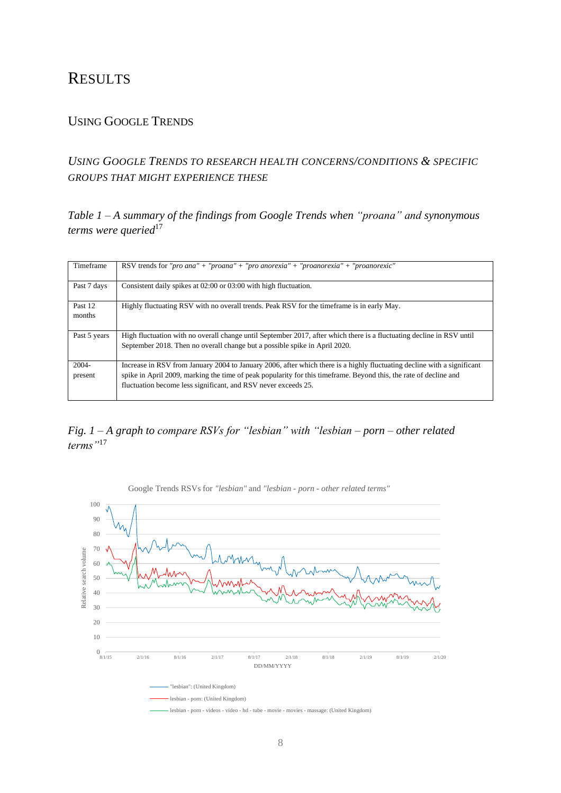# <span id="page-8-0"></span>**RESULTS**

# <span id="page-8-1"></span>USING GOOGLE TRENDS

# <span id="page-8-2"></span>*USING GOOGLE TRENDS TO RESEARCH HEALTH CONCERNS/CONDITIONS & SPECIFIC GROUPS THAT MIGHT EXPERIENCE THESE*

*Table 1 – A summary of the findings from Google Trends when "proana" and synonymous*  terms were queried<sup>17</sup>

| Timeframe           | RSV trends for "pro ana" + "proana" + "pro anorexia" + "proanorexia" + "proanorexic"                                                                                                                                                                                                                           |
|---------------------|----------------------------------------------------------------------------------------------------------------------------------------------------------------------------------------------------------------------------------------------------------------------------------------------------------------|
| Past 7 days         | Consistent daily spikes at 02:00 or 03:00 with high fluctuation.                                                                                                                                                                                                                                               |
| Past 12<br>months   | Highly fluctuating RSV with no overall trends. Peak RSV for the time frame is in early May.                                                                                                                                                                                                                    |
| Past 5 years        | High fluctuation with no overall change until September 2017, after which there is a fluctuating decline in RSV until<br>September 2018. Then no overall change but a possible spike in April 2020.                                                                                                            |
| $2004 -$<br>present | Increase in RSV from January 2004 to January 2006, after which there is a highly fluctuating decline with a significant<br>spike in April 2009, marking the time of peak popularity for this timeframe. Beyond this, the rate of decline and<br>fluctuation become less significant, and RSV never exceeds 25. |

# *Fig. 1 – A graph to compare RSVs for "lesbian" with "lesbian – porn – other related terms"*<sup>17</sup>



Google Trends RSVs for *"lesbian"* and *"lesbian - porn - other related terms"*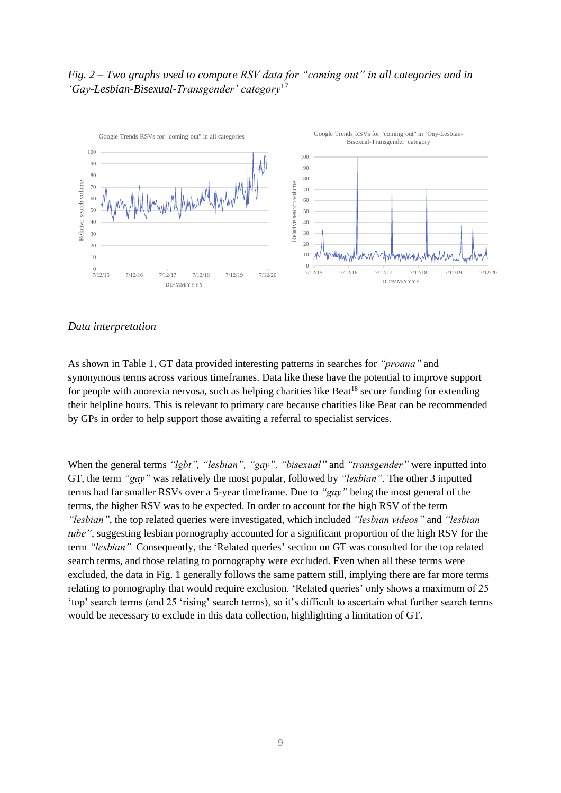# *Fig. 2 – Two graphs used to compare RSV data for "coming out" in all categories and in 'Gay-Lesbian-Bisexual-Transgender' category*<sup>17</sup>



#### *Data interpretation*

As shown in Table 1, GT data provided interesting patterns in searches for *"proana"* and synonymous terms across various timeframes. Data like these have the potential to improve support for people with anorexia nervosa, such as helping charities like Beat<sup>18</sup> secure funding for extending their helpline hours. This is relevant to primary care because charities like Beat can be recommended by GPs in order to help support those awaiting a referral to specialist services.

When the general terms *"lgbt", "lesbian", "gay", "bisexual"* and *"transgender"* were inputted into GT, the term *"gay"* was relatively the most popular, followed by *"lesbian"*. The other 3 inputted terms had far smaller RSVs over a 5-year timeframe. Due to *"gay"* being the most general of the terms, the higher RSV was to be expected. In order to account for the high RSV of the term *"lesbian"*, the top related queries were investigated, which included *"lesbian videos"* and *"lesbian tube"*, suggesting lesbian pornography accounted for a significant proportion of the high RSV for the term *"lesbian".* Consequently, the 'Related queries' section on GT was consulted for the top related search terms, and those relating to pornography were excluded. Even when all these terms were excluded, the data in Fig. 1 generally follows the same pattern still, implying there are far more terms relating to pornography that would require exclusion. 'Related queries' only shows a maximum of 25 'top' search terms (and 25 'rising' search terms), so it's difficult to ascertain what further search terms would be necessary to exclude in this data collection, highlighting a limitation of GT.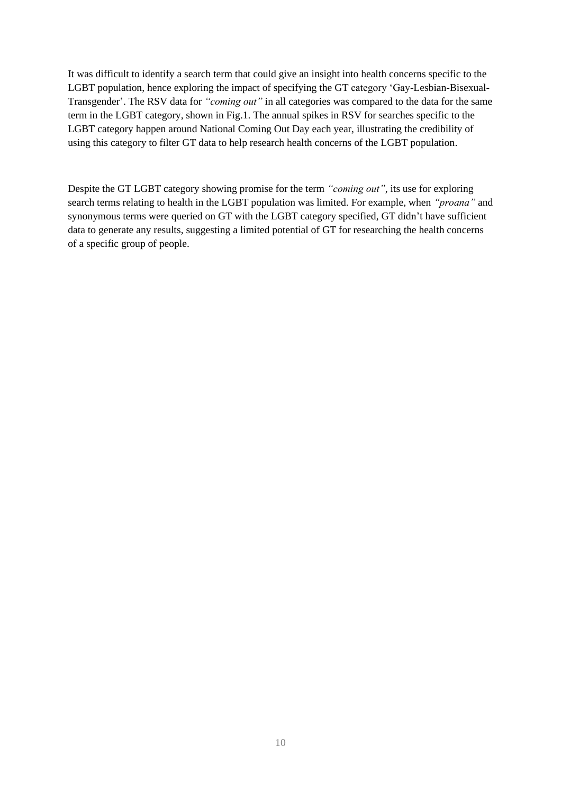It was difficult to identify a search term that could give an insight into health concerns specific to the LGBT population, hence exploring the impact of specifying the GT category 'Gay-Lesbian-Bisexual-Transgender'. The RSV data for *"coming out"* in all categories was compared to the data for the same term in the LGBT category, shown in Fig.1. The annual spikes in RSV for searches specific to the LGBT category happen around National Coming Out Day each year, illustrating the credibility of using this category to filter GT data to help research health concerns of the LGBT population.

Despite the GT LGBT category showing promise for the term *"coming out"*, its use for exploring search terms relating to health in the LGBT population was limited. For example, when *"proana"* and synonymous terms were queried on GT with the LGBT category specified, GT didn't have sufficient data to generate any results, suggesting a limited potential of GT for researching the health concerns of a specific group of people.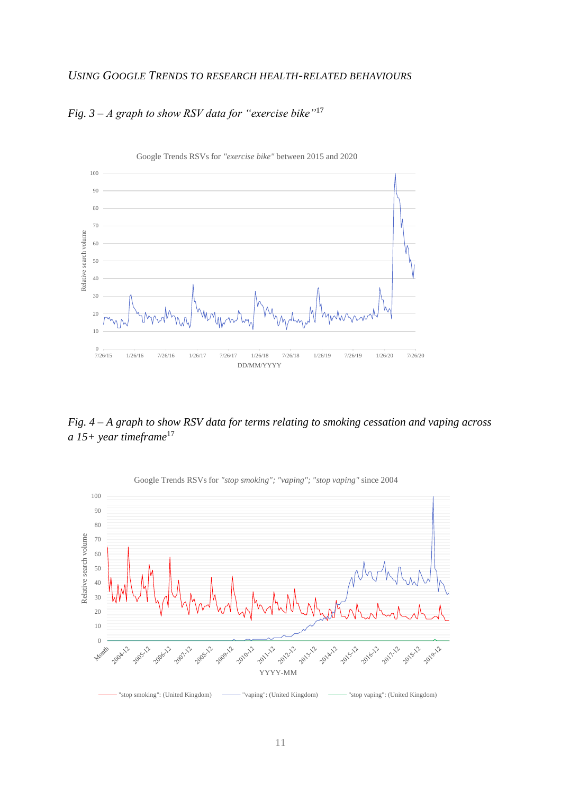# <span id="page-11-0"></span>*USING GOOGLE TRENDS TO RESEARCH HEALTH-RELATED BEHAVIOURS*



# *Fig. 3 – A graph to show RSV data for "exercise bike"*<sup>17</sup>

*Fig. 4 – A graph to show RSV data for terms relating to smoking cessation and vaping across a 15+ year timeframe*<sup>17</sup>

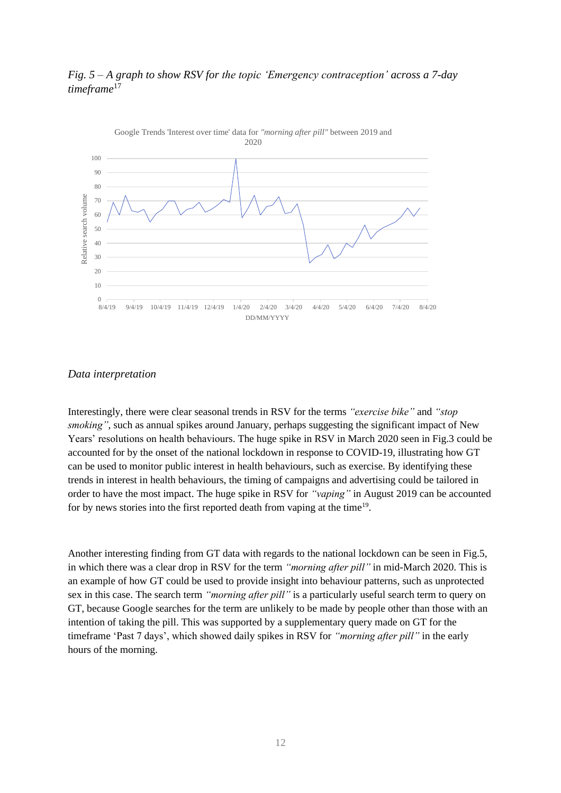# *Fig. 5 – A graph to show RSV for the topic 'Emergency contraception' across a 7-day timeframe*<sup>17</sup>



#### *Data interpretation*

Interestingly, there were clear seasonal trends in RSV for the terms *"exercise bike"* and *"stop smoking"*, such as annual spikes around January, perhaps suggesting the significant impact of New Years' resolutions on health behaviours. The huge spike in RSV in March 2020 seen in Fig.3 could be accounted for by the onset of the national lockdown in response to COVID-19, illustrating how GT can be used to monitor public interest in health behaviours, such as exercise. By identifying these trends in interest in health behaviours, the timing of campaigns and advertising could be tailored in order to have the most impact. The huge spike in RSV for *"vaping"* in August 2019 can be accounted for by news stories into the first reported death from vaping at the time<sup>19</sup>.

Another interesting finding from GT data with regards to the national lockdown can be seen in Fig.5, in which there was a clear drop in RSV for the term *"morning after pill"* in mid-March 2020. This is an example of how GT could be used to provide insight into behaviour patterns, such as unprotected sex in this case. The search term *"morning after pill"* is a particularly useful search term to query on GT, because Google searches for the term are unlikely to be made by people other than those with an intention of taking the pill. This was supported by a supplementary query made on GT for the timeframe 'Past 7 days', which showed daily spikes in RSV for *"morning after pill"* in the early hours of the morning.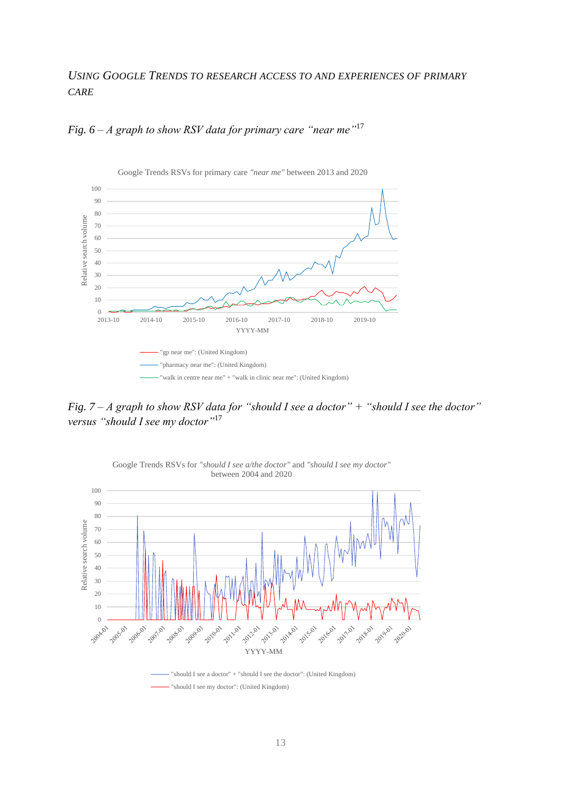# <span id="page-13-0"></span>*USING GOOGLE TRENDS TO RESEARCH ACCESS TO AND EXPERIENCES OF PRIMARY CARE*



*Fig. 6 – A graph to show RSV data for primary care "near me"* 17

*Fig. 7 – A graph to show RSV data for "should I see a doctor" + "should I see the doctor" versus "should I see my doctor"*<sup>17</sup>



Google Trends RSVs for *"should I see a/the doctor"* and *"should I see my doctor"*

"should I see a doctor" + "should I see the doctor": (United Kingdom) - "should I see my doctor": (United Kingdom)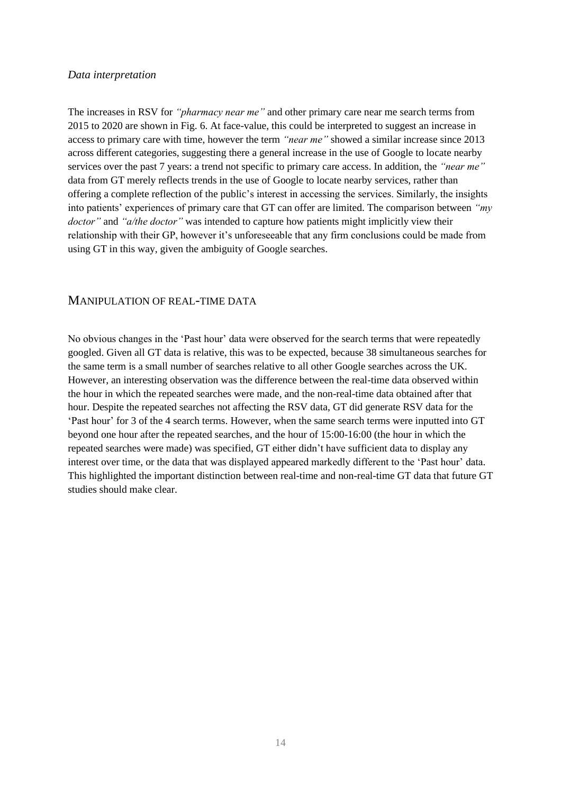#### *Data interpretation*

The increases in RSV for *"pharmacy near me"* and other primary care near me search terms from 2015 to 2020 are shown in Fig. 6. At face-value, this could be interpreted to suggest an increase in access to primary care with time, however the term *"near me"* showed a similar increase since 2013 across different categories, suggesting there a general increase in the use of Google to locate nearby services over the past 7 years: a trend not specific to primary care access. In addition, the *"near me"*  data from GT merely reflects trends in the use of Google to locate nearby services, rather than offering a complete reflection of the public's interest in accessing the services. Similarly, the insights into patients' experiences of primary care that GT can offer are limited. The comparison between *"my doctor"* and *"a/the doctor"* was intended to capture how patients might implicitly view their relationship with their GP, however it's unforeseeable that any firm conclusions could be made from using GT in this way, given the ambiguity of Google searches.

# <span id="page-14-0"></span>MANIPULATION OF REAL-TIME DATA

No obvious changes in the 'Past hour' data were observed for the search terms that were repeatedly googled. Given all GT data is relative, this was to be expected, because 38 simultaneous searches for the same term is a small number of searches relative to all other Google searches across the UK. However, an interesting observation was the difference between the real-time data observed within the hour in which the repeated searches were made, and the non-real-time data obtained after that hour. Despite the repeated searches not affecting the RSV data, GT did generate RSV data for the 'Past hour' for 3 of the 4 search terms. However, when the same search terms were inputted into GT beyond one hour after the repeated searches, and the hour of 15:00-16:00 (the hour in which the repeated searches were made) was specified, GT either didn't have sufficient data to display any interest over time, or the data that was displayed appeared markedly different to the 'Past hour' data. This highlighted the important distinction between real-time and non-real-time GT data that future GT studies should make clear.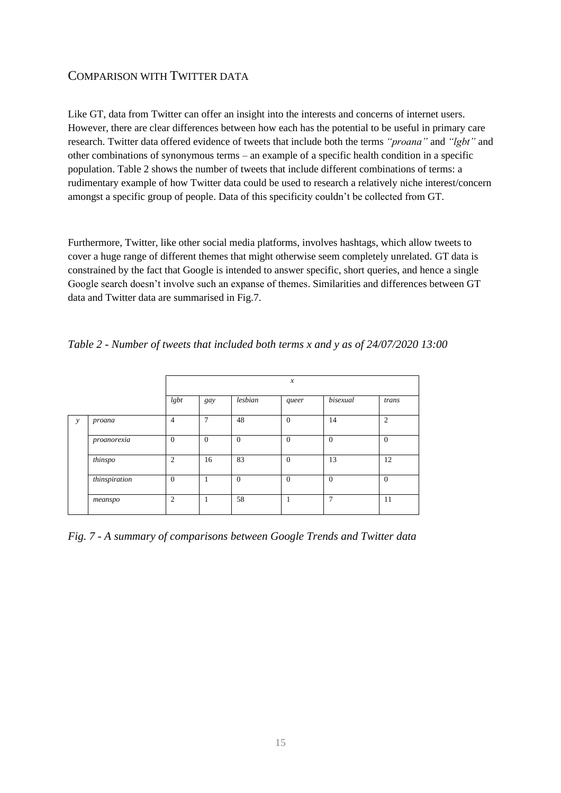# <span id="page-15-0"></span>COMPARISON WITH TWITTER DATA

Like GT, data from Twitter can offer an insight into the interests and concerns of internet users. However, there are clear differences between how each has the potential to be useful in primary care research. Twitter data offered evidence of tweets that include both the terms *"proana"* and *"lgbt"* and other combinations of synonymous terms – an example of a specific health condition in a specific population. Table 2 shows the number of tweets that include different combinations of terms: a rudimentary example of how Twitter data could be used to research a relatively niche interest/concern amongst a specific group of people. Data of this specificity couldn't be collected from GT.

Furthermore, Twitter, like other social media platforms, involves hashtags, which allow tweets to cover a huge range of different themes that might otherwise seem completely unrelated. GT data is constrained by the fact that Google is intended to answer specific, short queries, and hence a single Google search doesn't involve such an expanse of themes. Similarities and differences between GT data and Twitter data are summarised in Fig.7.

| Table 2 - Number of tweets that included both terms x and y as of 24/07/2020 13:00 |  |  |  |  |  |
|------------------------------------------------------------------------------------|--|--|--|--|--|
|                                                                                    |  |  |  |  |  |

|               |               |                |          |              | $\boldsymbol{x}$ |          |                |
|---------------|---------------|----------------|----------|--------------|------------------|----------|----------------|
|               |               | lgbt           | gay      | lesbian      | queer            | bisexual | trans          |
| $\mathcal{Y}$ | proana        | $\overline{4}$ | 7        | 48           | $\overline{0}$   | 14       | $\overline{c}$ |
|               | $proanorexia$ | $\overline{0}$ | $\theta$ | $\mathbf{0}$ | $\overline{0}$   | $\theta$ | $\mathbf{0}$   |
|               | thinspo       | 2              | 16       | 83           | $\overline{0}$   | 13       | 12             |
|               | thinspiration | $\overline{0}$ | 1        | $\mathbf{0}$ | $\overline{0}$   | $\theta$ | $\theta$       |
|               | meanspo       | $\overline{2}$ | 1        | 58           |                  | 7        | 11             |

*Fig. 7 - A summary of comparisons between Google Trends and Twitter data*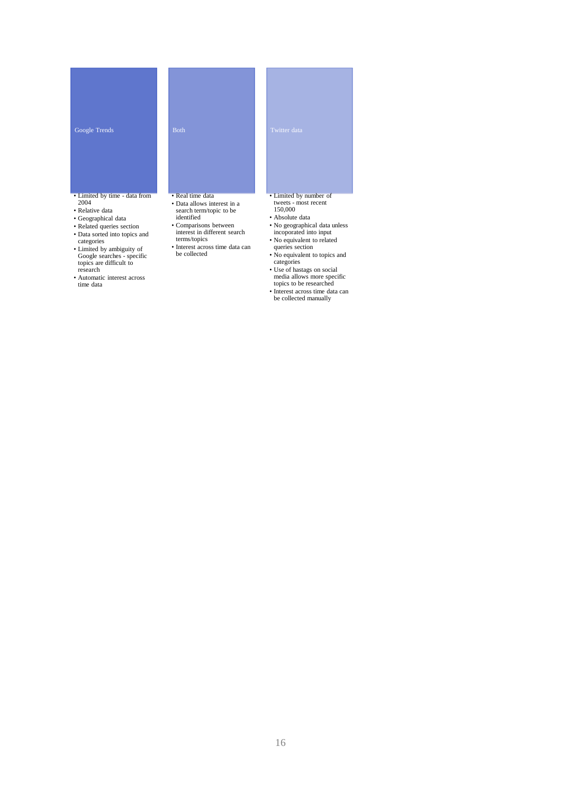#### Google Trends

#### • Limited by time - data from 2004

- Relative data
- Geographical data
- Related queries section
- Data sorted into topics and categories
- Limited by ambiguity of Google searches specific topics are difficult to research
- Automatic interest across time data

#### • Real time data

- Data allows interest in a search term/topic to be identified
- Comparisons between interest in different search
- terms/topics
- Interest across time data can be collected
- Limited by number of tweets - most recent 150,000
- Absolute data
- No geographical data unless incoporated into input
- 
- No equivalent to related queries section
- No equivalent to topics and categories
- Use of hastags on social media allows more specific topics to be researched
- 
- Interest across time data can be collected manually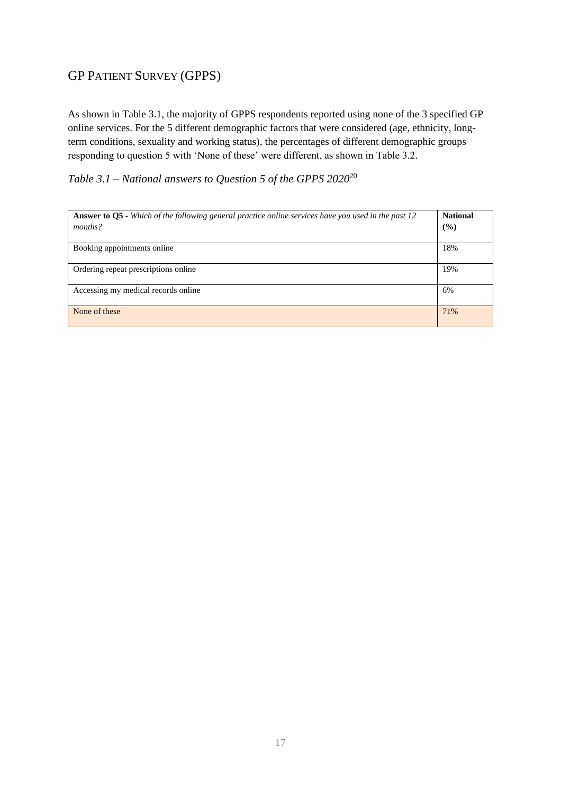# <span id="page-17-0"></span>GP PATIENT SURVEY (GPPS)

As shown in Table 3.1, the majority of GPPS respondents reported using none of the 3 specified GP online services. For the 5 different demographic factors that were considered (age, ethnicity, longterm conditions, sexuality and working status), the percentages of different demographic groups responding to question 5 with 'None of these' were different, as shown in Table 3.2.

*Table 3.1 – National answers to Question 5 of the GPPS 2020*<sup>20</sup>

| <b>Answer to Q5</b> - Which of the following general practice online services have you used in the past 12 | <b>National</b> |
|------------------------------------------------------------------------------------------------------------|-----------------|
| months?                                                                                                    | (%)             |
|                                                                                                            |                 |
| Booking appointments online                                                                                | 18%             |
|                                                                                                            |                 |
| Ordering repeat prescriptions online                                                                       | 19%             |
| Accessing my medical records online                                                                        | 6%              |
|                                                                                                            |                 |
| None of these                                                                                              | 71%             |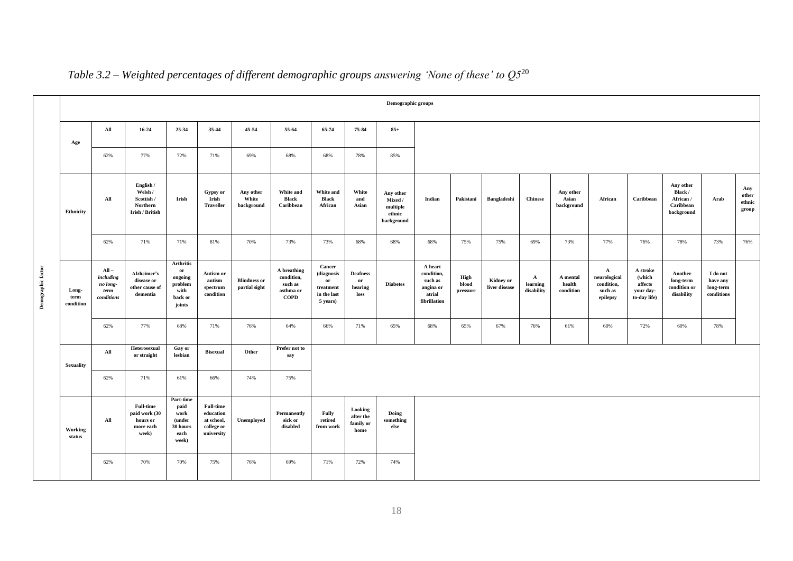|                    | Demographic groups         |                                                        |                                                                     |                                                                           |                                                                         |                                      |                                                                  |                                                                    |                                           |                                                          |                                                                         |                           |                                   |                                        |                                  |                                                                   |                                                            |                                                              |                                                 |                                 |
|--------------------|----------------------------|--------------------------------------------------------|---------------------------------------------------------------------|---------------------------------------------------------------------------|-------------------------------------------------------------------------|--------------------------------------|------------------------------------------------------------------|--------------------------------------------------------------------|-------------------------------------------|----------------------------------------------------------|-------------------------------------------------------------------------|---------------------------|-----------------------------------|----------------------------------------|----------------------------------|-------------------------------------------------------------------|------------------------------------------------------------|--------------------------------------------------------------|-------------------------------------------------|---------------------------------|
|                    | Age                        | All                                                    | 16-24                                                               | 25-34                                                                     | 35-44                                                                   | 45-54                                | 55-64                                                            | 65-74                                                              | 75-84                                     | $85+$                                                    |                                                                         |                           |                                   |                                        |                                  |                                                                   |                                                            |                                                              |                                                 |                                 |
|                    |                            | 62%                                                    | 77%                                                                 | 72%                                                                       | 71%                                                                     | 69%                                  | 68%                                                              | 68%                                                                | 78%                                       | 85%                                                      |                                                                         |                           |                                   |                                        |                                  |                                                                   |                                                            |                                                              |                                                 |                                 |
|                    | Ethnicity                  | All                                                    | English /<br>Welsh /<br>Scottish /<br>Northern<br>Irish / British   | Irish                                                                     | Gypsy or<br>Irish<br><b>Traveller</b>                                   | Any other<br>White<br>background     | <b>White and</b><br><b>Black</b><br>Caribbean                    | White and<br>Black<br>African                                      | White<br>and<br>Asian                     | Any other<br>Mixed /<br>multiple<br>ethnic<br>background | Indian                                                                  | Pakistani                 | <b>Bangladeshi</b>                | <b>Chinese</b>                         | Any other<br>Asian<br>background | African                                                           | Caribbean                                                  | Any other<br>Black /<br>African /<br>Caribbean<br>background | Arab                                            | Any<br>other<br>ethnic<br>group |
|                    |                            | 62%                                                    | 71%                                                                 | 71%                                                                       | 81%                                                                     | 70%                                  | 73%                                                              | 73%                                                                | 68%                                       | 68%                                                      | 68%                                                                     | 75%                       | 75%                               | 69%                                    | 73%                              | 77%                                                               | 76%                                                        | 78%                                                          | 73%                                             | 76%                             |
| Demographic factor | Long-<br>term<br>condition | $All -$<br>including<br>no long-<br>term<br>conditions | Alzheimer's<br>disease or<br>other cause of<br>dementia             | <b>Arthritis</b><br>or<br>ongoing<br>problem<br>with<br>back or<br>joints | <b>Autism or</b><br>autism<br>spectrum<br>condition                     | <b>Blindness or</b><br>partial sight | A breathing<br>condition,<br>such as<br>asthma or<br><b>COPD</b> | Cancer<br>(diagnosis<br>or<br>treatment<br>in the last<br>5 years) | <b>Deafness</b><br>or<br>hearing<br>loss  | <b>Diabetes</b>                                          | A heart<br>condition,<br>such as<br>angina or<br>atrial<br>fibrillation | High<br>blood<br>pressure | <b>Kidney or</b><br>liver disease | $\mathbf{A}$<br>learning<br>disability | A mental<br>health<br>condition  | $\mathbf{A}$<br>neurological<br>condition,<br>such as<br>epilepsy | A stroke<br>(which<br>affects<br>your day-<br>to-day life) | Another<br>long-term<br>condition or<br>disability           | I do not<br>have any<br>long-term<br>conditions |                                 |
|                    |                            | 62%                                                    | 77%                                                                 | 68%                                                                       | 71%                                                                     | 76%                                  | 64%                                                              | 66%                                                                | 71%                                       | 65%                                                      | 68%                                                                     | 65%                       | 67%                               | 76%                                    | 61%                              | 60%                                                               | 72%                                                        | 60%                                                          | 78%                                             |                                 |
|                    | <b>Sexuality</b>           | All                                                    | Heterosexual<br>or straight                                         | Gay or<br>lesbian                                                         | <b>Bisexual</b>                                                         | Other                                | Prefer not to<br>say                                             |                                                                    |                                           |                                                          |                                                                         |                           |                                   |                                        |                                  |                                                                   |                                                            |                                                              |                                                 |                                 |
|                    |                            | 62%                                                    | 71%                                                                 | 61%                                                                       | 66%                                                                     | 74%                                  | 75%                                                              |                                                                    |                                           |                                                          |                                                                         |                           |                                   |                                        |                                  |                                                                   |                                                            |                                                              |                                                 |                                 |
|                    | Working<br>status          | All                                                    | <b>Full-time</b><br>paid work (30<br>hours or<br>more each<br>week) | Part-time<br>paid<br>work<br>(under<br>30 hours<br>each<br>week)          | <b>Full-time</b><br>education<br>at school,<br>college or<br>university | Unemployed                           | Permanently<br>sick or<br>disabled                               | <b>Fully</b><br>retired<br>from work                               | Looking<br>after the<br>family or<br>home | Doing<br>something<br>else                               |                                                                         |                           |                                   |                                        |                                  |                                                                   |                                                            |                                                              |                                                 |                                 |
|                    |                            | 62%                                                    | 70%                                                                 | 70%                                                                       | 75%                                                                     | 76%                                  | 69%                                                              | 71%                                                                | 72%                                       | 74%                                                      |                                                                         |                           |                                   |                                        |                                  |                                                                   |                                                            |                                                              |                                                 |                                 |

# *Table 3.2 – Weighted percentages of different demographic groups answering 'None of these' to Q5*<sup>20</sup>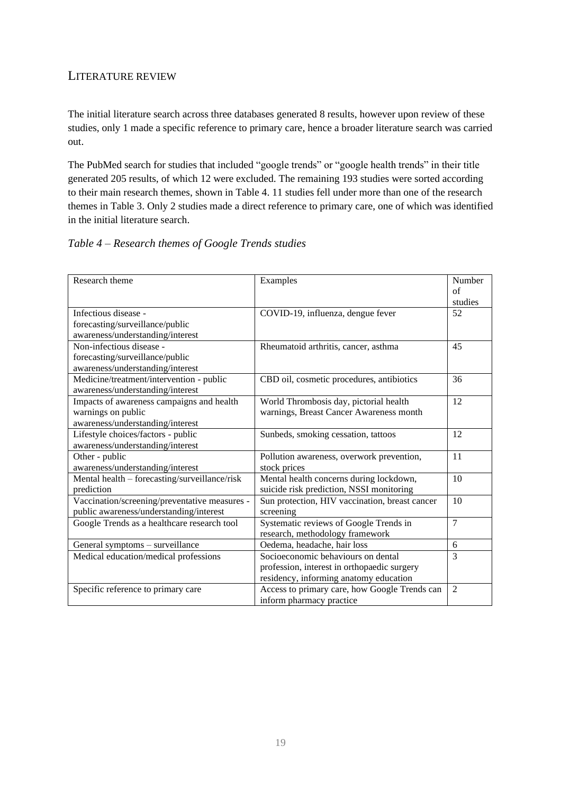# <span id="page-19-0"></span>LITERATURE REVIEW

The initial literature search across three databases generated 8 results, however upon review of these studies, only 1 made a specific reference to primary care, hence a broader literature search was carried out.

The PubMed search for studies that included "google trends" or "google health trends" in their title generated 205 results, of which 12 were excluded. The remaining 193 studies were sorted according to their main research themes, shown in Table 4. 11 studies fell under more than one of the research themes in Table 3. Only 2 studies made a direct reference to primary care, one of which was identified in the initial literature search.

# *Table 4 – Research themes of Google Trends studies*

| Research theme                                | Examples                                       | Number         |
|-----------------------------------------------|------------------------------------------------|----------------|
|                                               |                                                | of             |
|                                               |                                                | studies        |
| Infectious disease -                          | COVID-19, influenza, dengue fever              | 52             |
| forecasting/surveillance/public               |                                                |                |
| awareness/understanding/interest              |                                                |                |
| Non-infectious disease -                      | Rheumatoid arthritis, cancer, asthma           | 45             |
| forecasting/surveillance/public               |                                                |                |
| awareness/understanding/interest              |                                                |                |
| Medicine/treatment/intervention - public      | CBD oil, cosmetic procedures, antibiotics      | 36             |
| awareness/understanding/interest              |                                                |                |
| Impacts of awareness campaigns and health     | World Thrombosis day, pictorial health         | 12             |
| warnings on public                            | warnings, Breast Cancer Awareness month        |                |
| awareness/understanding/interest              |                                                |                |
| Lifestyle choices/factors - public            | Sunbeds, smoking cessation, tattoos            | 12             |
| awareness/understanding/interest              |                                                |                |
| Other - public                                | Pollution awareness, overwork prevention,      | 11             |
| awareness/understanding/interest              | stock prices                                   |                |
| Mental health - forecasting/surveillance/risk | Mental health concerns during lockdown,        | 10             |
| prediction                                    | suicide risk prediction, NSSI monitoring       |                |
| Vaccination/screening/preventative measures - | Sun protection, HIV vaccination, breast cancer | 10             |
| public awareness/understanding/interest       | screening                                      |                |
| Google Trends as a healthcare research tool   | Systematic reviews of Google Trends in         | $\overline{7}$ |
|                                               | research, methodology framework                |                |
| General symptoms - surveillance               | Oedema, headache, hair loss                    | 6              |
| Medical education/medical professions         | Socioeconomic behaviours on dental             | $\overline{3}$ |
|                                               | profession, interest in orthopaedic surgery    |                |
|                                               | residency, informing anatomy education         |                |
| Specific reference to primary care            | Access to primary care, how Google Trends can  | $\overline{2}$ |
|                                               | inform pharmacy practice                       |                |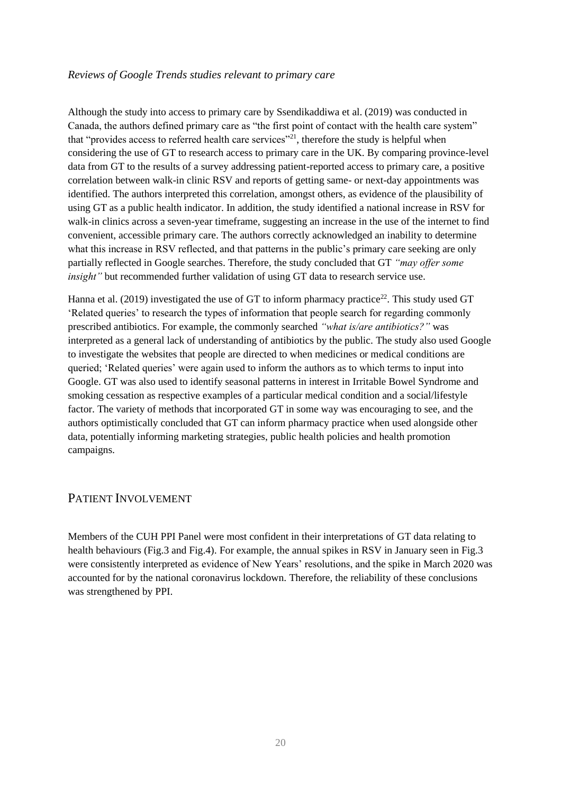### *Reviews of Google Trends studies relevant to primary care*

Although the study into access to primary care by Ssendikaddiwa et al. (2019) was conducted in Canada, the authors defined primary care as "the first point of contact with the health care system" that "provides access to referred health care services"<sup>21</sup>, therefore the study is helpful when considering the use of GT to research access to primary care in the UK. By comparing province-level data from GT to the results of a survey addressing patient-reported access to primary care, a positive correlation between walk-in clinic RSV and reports of getting same- or next-day appointments was identified. The authors interpreted this correlation, amongst others, as evidence of the plausibility of using GT as a public health indicator. In addition, the study identified a national increase in RSV for walk-in clinics across a seven-year timeframe, suggesting an increase in the use of the internet to find convenient, accessible primary care. The authors correctly acknowledged an inability to determine what this increase in RSV reflected, and that patterns in the public's primary care seeking are only partially reflected in Google searches. Therefore, the study concluded that GT *"may offer some insight*" but recommended further validation of using GT data to research service use.

Hanna et al. (2019) investigated the use of GT to inform pharmacy practice<sup>22</sup>. This study used GT 'Related queries' to research the types of information that people search for regarding commonly prescribed antibiotics. For example, the commonly searched *"what is/are antibiotics?"* was interpreted as a general lack of understanding of antibiotics by the public. The study also used Google to investigate the websites that people are directed to when medicines or medical conditions are queried; 'Related queries' were again used to inform the authors as to which terms to input into Google. GT was also used to identify seasonal patterns in interest in Irritable Bowel Syndrome and smoking cessation as respective examples of a particular medical condition and a social/lifestyle factor. The variety of methods that incorporated GT in some way was encouraging to see, and the authors optimistically concluded that GT can inform pharmacy practice when used alongside other data, potentially informing marketing strategies, public health policies and health promotion campaigns.

# <span id="page-20-0"></span>PATIENT INVOLVEMENT

Members of the CUH PPI Panel were most confident in their interpretations of GT data relating to health behaviours (Fig.3 and Fig.4). For example, the annual spikes in RSV in January seen in Fig.3 were consistently interpreted as evidence of New Years' resolutions, and the spike in March 2020 was accounted for by the national coronavirus lockdown. Therefore, the reliability of these conclusions was strengthened by PPI.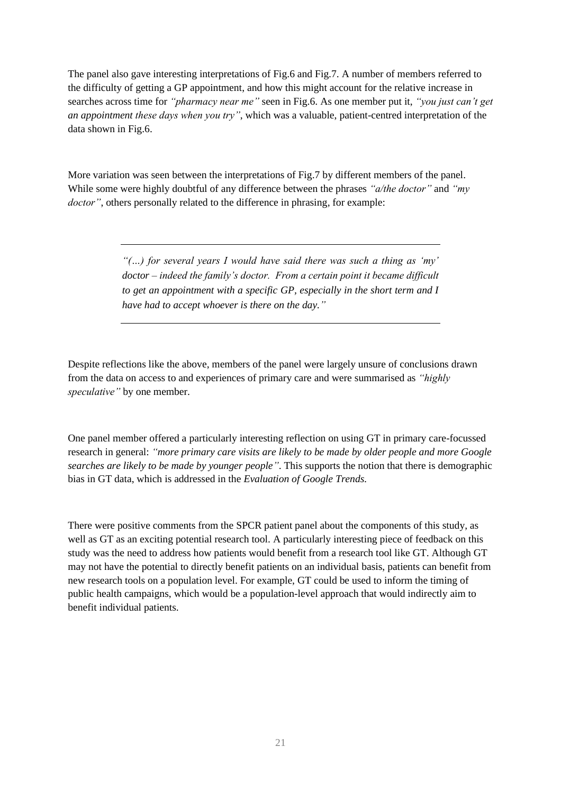The panel also gave interesting interpretations of Fig.6 and Fig.7. A number of members referred to the difficulty of getting a GP appointment, and how this might account for the relative increase in searches across time for *"pharmacy near me"* seen in Fig.6. As one member put it, *"you just can't get an appointment these days when you try"*, which was a valuable, patient-centred interpretation of the data shown in Fig.6.

More variation was seen between the interpretations of Fig.7 by different members of the panel. While some were highly doubtful of any difference between the phrases *"a/the doctor"* and *"my doctor"*, others personally related to the difference in phrasing, for example:

> *"(…) for several years I would have said there was such a thing as 'my' doctor – indeed the family's doctor. From a certain point it became difficult to get an appointment with a specific GP, especially in the short term and I have had to accept whoever is there on the day."*

Despite reflections like the above, members of the panel were largely unsure of conclusions drawn from the data on access to and experiences of primary care and were summarised as *"highly speculative"* by one member.

One panel member offered a particularly interesting reflection on using GT in primary care-focussed research in general: *"more primary care visits are likely to be made by older people and more Google searches are likely to be made by younger people"*. This supports the notion that there is demographic bias in GT data, which is addressed in the *Evaluation of Google Trends.*

There were positive comments from the SPCR patient panel about the components of this study, as well as GT as an exciting potential research tool. A particularly interesting piece of feedback on this study was the need to address how patients would benefit from a research tool like GT. Although GT may not have the potential to directly benefit patients on an individual basis, patients can benefit from new research tools on a population level. For example, GT could be used to inform the timing of public health campaigns, which would be a population-level approach that would indirectly aim to benefit individual patients.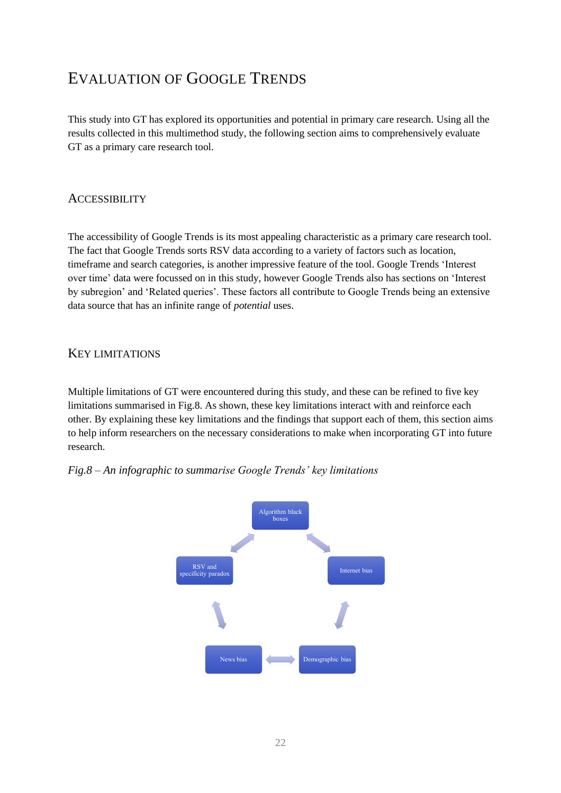# <span id="page-22-0"></span>EVALUATION OF GOOGLE TRENDS

This study into GT has explored its opportunities and potential in primary care research. Using all the results collected in this multimethod study, the following section aims to comprehensively evaluate GT as a primary care research tool.

# <span id="page-22-1"></span>**ACCESSIBILITY**

The accessibility of Google Trends is its most appealing characteristic as a primary care research tool. The fact that Google Trends sorts RSV data according to a variety of factors such as location, timeframe and search categories, is another impressive feature of the tool. Google Trends 'Interest over time' data were focussed on in this study, however Google Trends also has sections on 'Interest by subregion' and 'Related queries'. These factors all contribute to Google Trends being an extensive data source that has an infinite range of *potential* uses.

# <span id="page-22-2"></span>KEY LIMITATIONS

Multiple limitations of GT were encountered during this study, and these can be refined to five key limitations summarised in Fig.8. As shown, these key limitations interact with and reinforce each other. By explaining these key limitations and the findings that support each of them, this section aims to help inform researchers on the necessary considerations to make when incorporating GT into future research.

# *Fig.8 – An infographic to summarise Google Trends' key limitations*

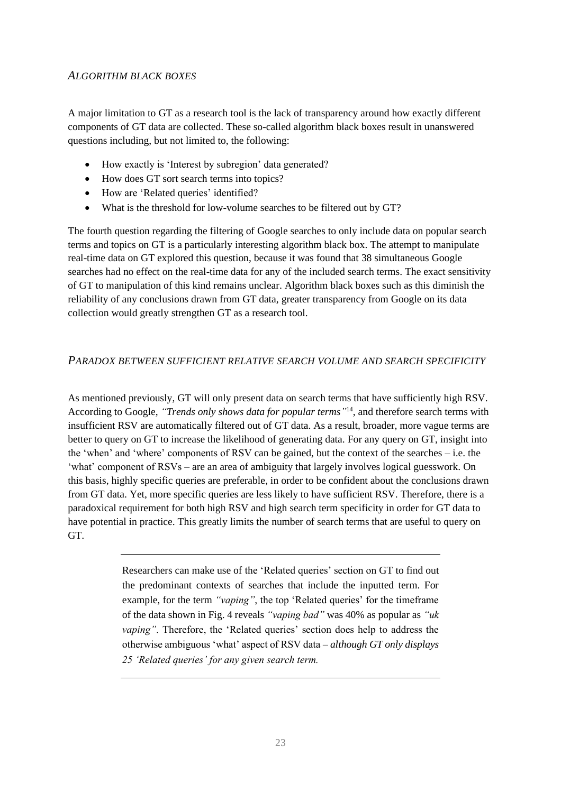# <span id="page-23-0"></span>*ALGORITHM BLACK BOXES*

A major limitation to GT as a research tool is the lack of transparency around how exactly different components of GT data are collected. These so-called algorithm black boxes result in unanswered questions including, but not limited to, the following:

- How exactly is 'Interest by subregion' data generated?
- How does GT sort search terms into topics?
- How are 'Related queries' identified?
- What is the threshold for low-volume searches to be filtered out by GT?

The fourth question regarding the filtering of Google searches to only include data on popular search terms and topics on GT is a particularly interesting algorithm black box. The attempt to manipulate real-time data on GT explored this question, because it was found that 38 simultaneous Google searches had no effect on the real-time data for any of the included search terms. The exact sensitivity of GT to manipulation of this kind remains unclear. Algorithm black boxes such as this diminish the reliability of any conclusions drawn from GT data, greater transparency from Google on its data collection would greatly strengthen GT as a research tool.

# <span id="page-23-1"></span>*PARADOX BETWEEN SUFFICIENT RELATIVE SEARCH VOLUME AND SEARCH SPECIFICITY*

As mentioned previously, GT will only present data on search terms that have sufficiently high RSV. According to Google, *"Trends only shows data for popular terms"* <sup>14</sup>, and therefore search terms with insufficient RSV are automatically filtered out of GT data. As a result, broader, more vague terms are better to query on GT to increase the likelihood of generating data. For any query on GT, insight into the 'when' and 'where' components of RSV can be gained, but the context of the searches – i.e. the 'what' component of RSVs – are an area of ambiguity that largely involves logical guesswork. On this basis, highly specific queries are preferable, in order to be confident about the conclusions drawn from GT data. Yet, more specific queries are less likely to have sufficient RSV. Therefore, there is a paradoxical requirement for both high RSV and high search term specificity in order for GT data to have potential in practice. This greatly limits the number of search terms that are useful to query on GT.

> Researchers can make use of the 'Related queries' section on GT to find out the predominant contexts of searches that include the inputted term. For example, for the term *"vaping"*, the top 'Related queries' for the timeframe of the data shown in Fig. 4 reveals *"vaping bad"* was 40% as popular as *"uk vaping"*. Therefore, the 'Related queries' section does help to address the otherwise ambiguous 'what' aspect of RSV data – *although GT only displays 25 'Related queries' for any given search term.*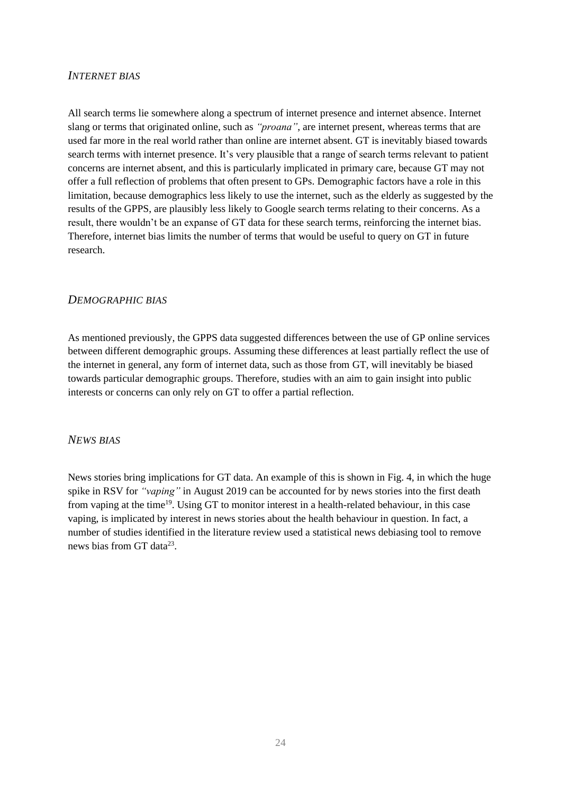# <span id="page-24-0"></span>*INTERNET BIAS*

All search terms lie somewhere along a spectrum of internet presence and internet absence. Internet slang or terms that originated online, such as *"proana"*, are internet present, whereas terms that are used far more in the real world rather than online are internet absent. GT is inevitably biased towards search terms with internet presence. It's very plausible that a range of search terms relevant to patient concerns are internet absent, and this is particularly implicated in primary care, because GT may not offer a full reflection of problems that often present to GPs. Demographic factors have a role in this limitation, because demographics less likely to use the internet, such as the elderly as suggested by the results of the GPPS, are plausibly less likely to Google search terms relating to their concerns. As a result, there wouldn't be an expanse of GT data for these search terms, reinforcing the internet bias. Therefore, internet bias limits the number of terms that would be useful to query on GT in future research.

# <span id="page-24-1"></span>*DEMOGRAPHIC BIAS*

As mentioned previously, the GPPS data suggested differences between the use of GP online services between different demographic groups. Assuming these differences at least partially reflect the use of the internet in general, any form of internet data, such as those from GT, will inevitably be biased towards particular demographic groups. Therefore, studies with an aim to gain insight into public interests or concerns can only rely on GT to offer a partial reflection.

# <span id="page-24-2"></span>*NEWS BIAS*

News stories bring implications for GT data. An example of this is shown in Fig. 4, in which the huge spike in RSV for *"vaping"* in August 2019 can be accounted for by news stories into the first death from vaping at the time<sup>19</sup>. Using GT to monitor interest in a health-related behaviour, in this case vaping, is implicated by interest in news stories about the health behaviour in question. In fact, a number of studies identified in the literature review used a statistical news debiasing tool to remove news bias from GT data<sup>23</sup>.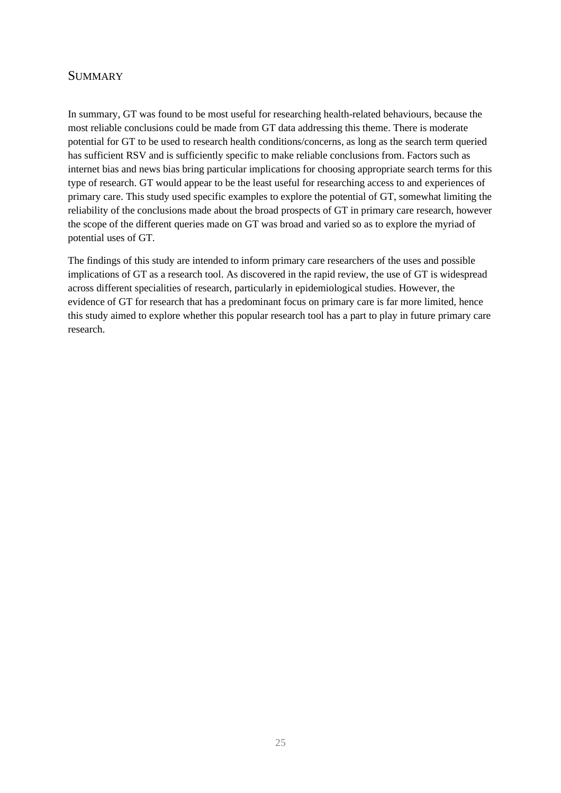# <span id="page-25-0"></span>**SUMMARY**

In summary, GT was found to be most useful for researching health-related behaviours, because the most reliable conclusions could be made from GT data addressing this theme. There is moderate potential for GT to be used to research health conditions/concerns, as long as the search term queried has sufficient RSV and is sufficiently specific to make reliable conclusions from. Factors such as internet bias and news bias bring particular implications for choosing appropriate search terms for this type of research. GT would appear to be the least useful for researching access to and experiences of primary care. This study used specific examples to explore the potential of GT, somewhat limiting the reliability of the conclusions made about the broad prospects of GT in primary care research, however the scope of the different queries made on GT was broad and varied so as to explore the myriad of potential uses of GT.

The findings of this study are intended to inform primary care researchers of the uses and possible implications of GT as a research tool. As discovered in the rapid review, the use of GT is widespread across different specialities of research, particularly in epidemiological studies. However, the evidence of GT for research that has a predominant focus on primary care is far more limited, hence this study aimed to explore whether this popular research tool has a part to play in future primary care research.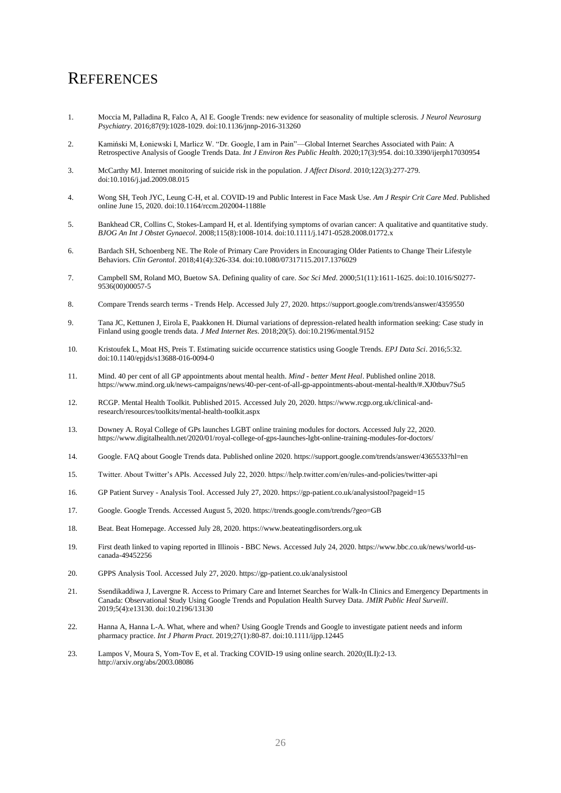# <span id="page-26-0"></span>**REFERENCES**

- 1. Moccia M, Palladina R, Falco A, Al E. Google Trends: new evidence for seasonality of multiple sclerosis. *J Neurol Neurosurg Psychiatry*. 2016;87(9):1028-1029. doi:10.1136/jnnp-2016-313260
- 2. Kamiński M, Łoniewski I, Marlicz W. "Dr. Google, I am in Pain"—Global Internet Searches Associated with Pain: A Retrospective Analysis of Google Trends Data. *Int J Environ Res Public Health*. 2020;17(3):954. doi:10.3390/ijerph17030954
- 3. McCarthy MJ. Internet monitoring of suicide risk in the population. *J Affect Disord*. 2010;122(3):277-279. doi:10.1016/j.jad.2009.08.015
- 4. Wong SH, Teoh JYC, Leung C-H, et al. COVID-19 and Public Interest in Face Mask Use. *Am J Respir Crit Care Med*. Published online June 15, 2020. doi:10.1164/rccm.202004-1188le
- 5. Bankhead CR, Collins C, Stokes-Lampard H, et al. Identifying symptoms of ovarian cancer: A qualitative and quantitative study. *BJOG An Int J Obstet Gynaecol*. 2008;115(8):1008-1014. doi:10.1111/j.1471-0528.2008.01772.x
- 6. Bardach SH, Schoenberg NE. The Role of Primary Care Providers in Encouraging Older Patients to Change Their Lifestyle Behaviors. *Clin Gerontol*. 2018;41(4):326-334. doi:10.1080/07317115.2017.1376029
- 7. Campbell SM, Roland MO, Buetow SA. Defining quality of care. *Soc Sci Med*. 2000;51(11):1611-1625. doi:10.1016/S0277- 9536(00)00057-5
- 8. Compare Trends search terms Trends Help. Accessed July 27, 2020. https://support.google.com/trends/answer/4359550
- 9. Tana JC, Kettunen J, Eirola E, Paakkonen H. Diurnal variations of depression-related health information seeking: Case study in Finland using google trends data. *J Med Internet Res*. 2018;20(5). doi:10.2196/mental.9152
- 10. Kristoufek L, Moat HS, Preis T. Estimating suicide occurrence statistics using Google Trends. *EPJ Data Sci*. 2016;5:32. doi:10.1140/epjds/s13688-016-0094-0
- 11. Mind. 40 per cent of all GP appointments about mental health. *Mind - better Ment Heal*. Published online 2018. https://www.mind.org.uk/news-campaigns/news/40-per-cent-of-all-gp-appointments-about-mental-health/#.XJ0tbuv7Su5
- 12. RCGP. Mental Health Toolkit. Published 2015. Accessed July 20, 2020. https://www.rcgp.org.uk/clinical-andresearch/resources/toolkits/mental-health-toolkit.aspx
- 13. Downey A. Royal College of GPs launches LGBT online training modules for doctors. Accessed July 22, 2020. https://www.digitalhealth.net/2020/01/royal-college-of-gps-launches-lgbt-online-training-modules-for-doctors/
- 14. Google. FAQ about Google Trends data. Published online 2020. https://support.google.com/trends/answer/4365533?hl=en
- 15. Twitter. About Twitter's APIs. Accessed July 22, 2020. https://help.twitter.com/en/rules-and-policies/twitter-api
- 16. GP Patient Survey Analysis Tool. Accessed July 27, 2020. https://gp-patient.co.uk/analysistool?pageid=15
- 17. Google. Google Trends. Accessed August 5, 2020. https://trends.google.com/trends/?geo=GB
- 18. Beat. Beat Homepage. Accessed July 28, 2020. https://www.beateatingdisorders.org.uk
- 19. First death linked to vaping reported in Illinois BBC News. Accessed July 24, 2020. https://www.bbc.co.uk/news/world-uscanada-49452256
- 20. GPPS Analysis Tool. Accessed July 27, 2020. https://gp-patient.co.uk/analysistool
- 21. Ssendikaddiwa J, Lavergne R. Access to Primary Care and Internet Searches for Walk-In Clinics and Emergency Departments in Canada: Observational Study Using Google Trends and Population Health Survey Data. *JMIR Public Heal Surveill*. 2019;5(4):e13130. doi:10.2196/13130
- 22. Hanna A, Hanna L-A. What, where and when? Using Google Trends and Google to investigate patient needs and inform pharmacy practice. *Int J Pharm Pract*. 2019;27(1):80-87. doi:10.1111/ijpp.12445
- 23. Lampos V, Moura S, Yom-Tov E, et al. Tracking COVID-19 using online search. 2020;(ILI):2-13. http://arxiv.org/abs/2003.08086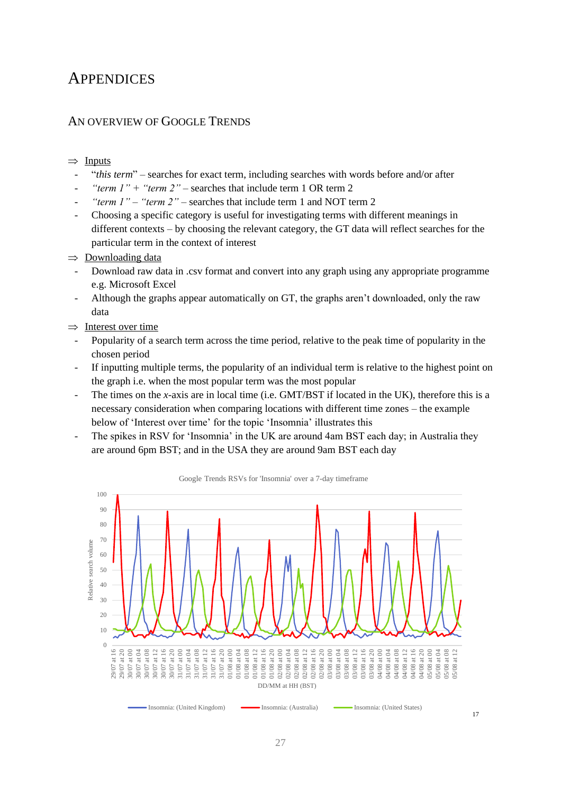# <span id="page-27-0"></span>**APPENDICES**

# <span id="page-27-1"></span>AN OVERVIEW OF GOOGLE TRENDS

### $\Rightarrow$  Inputs

- "*this term*" searches for exact term, including searches with words before and/or after
- "*term*  $1$ *"* + "*term 2*" searches that include term 1 OR term 2
- *"term 1" "term 2"* searches that include term 1 and NOT term 2
- Choosing a specific category is useful for investigating terms with different meanings in different contexts – by choosing the relevant category, the GT data will reflect searches for the particular term in the context of interest
- $\Rightarrow$  Downloading data
	- Download raw data in .csv format and convert into any graph using any appropriate programme e.g. Microsoft Excel
- Although the graphs appear automatically on GT, the graphs aren't downloaded, only the raw data
- $\Rightarrow$  Interest over time
- Popularity of a search term across the time period, relative to the peak time of popularity in the chosen period
- If inputting multiple terms, the popularity of an individual term is relative to the highest point on the graph i.e. when the most popular term was the most popular
- The times on the *x-*axis are in local time (i.e. GMT/BST if located in the UK), therefore this is a necessary consideration when comparing locations with different time zones – the example below of 'Interest over time' for the topic 'Insomnia' illustrates this
- The spikes in RSV for 'Insomnia' in the UK are around 4am BST each day; in Australia they are around 6pm BST; and in the USA they are around 9am BST each day



Google Trends RSVs for 'Insomnia' over a 7-day timeframe

17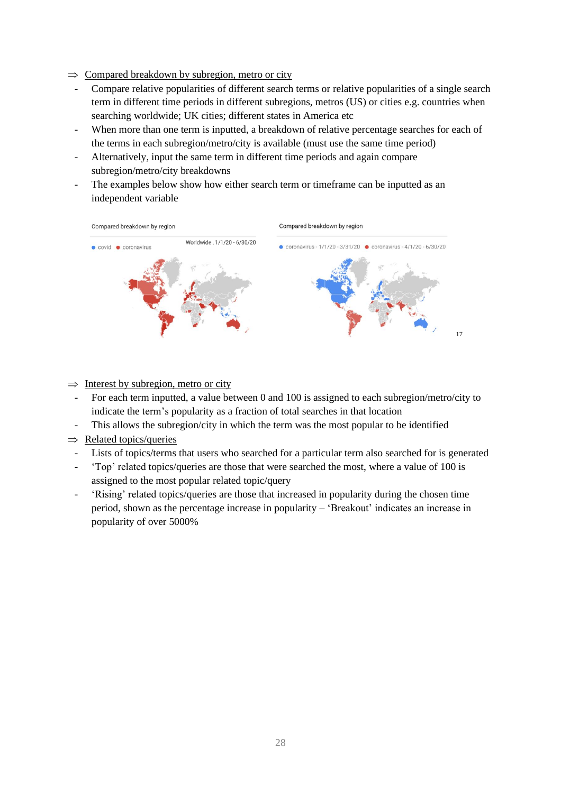- $\Rightarrow$  Compared breakdown by subregion, metro or city
	- Compare relative popularities of different search terms or relative popularities of a single search term in different time periods in different subregions, metros (US) or cities e.g. countries when searching worldwide; UK cities; different states in America etc
	- When more than one term is inputted, a breakdown of relative percentage searches for each of the terms in each subregion/metro/city is available (must use the same time period)
	- Alternatively, input the same term in different time periods and again compare subregion/metro/city breakdowns
	- The examples below show how either search term or timeframe can be inputted as an independent variable



 $\Rightarrow$  Interest by subregion, metro or city

- For each term inputted, a value between 0 and 100 is assigned to each subregion/metro/city to indicate the term's popularity as a fraction of total searches in that location
- This allows the subregion/city in which the term was the most popular to be identified
- $\Rightarrow$  Related topics/queries
	- Lists of topics/terms that users who searched for a particular term also searched for is generated
	- 'Top' related topics/queries are those that were searched the most, where a value of 100 is assigned to the most popular related topic/query
	- 'Rising' related topics/queries are those that increased in popularity during the chosen time period, shown as the percentage increase in popularity – 'Breakout' indicates an increase in popularity of over 5000%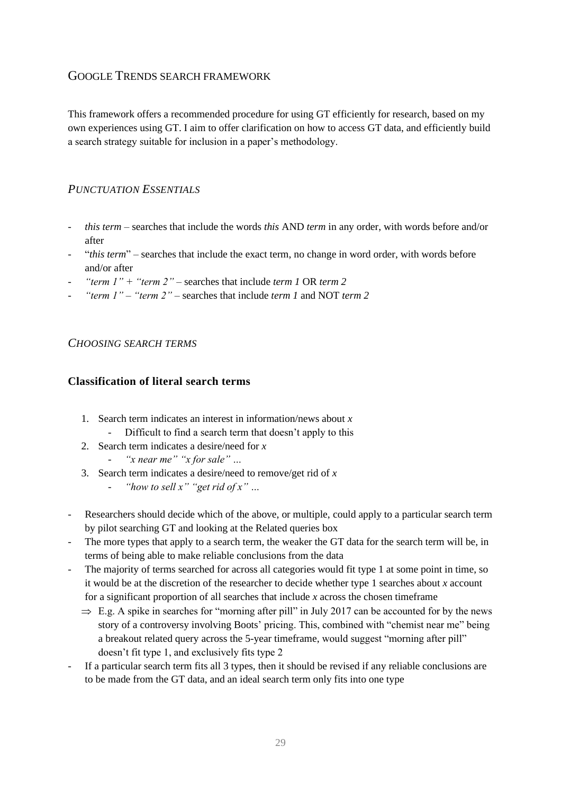# <span id="page-29-0"></span>GOOGLE TRENDS SEARCH FRAMEWORK

This framework offers a recommended procedure for using GT efficiently for research, based on my own experiences using GT. I aim to offer clarification on how to access GT data, and efficiently build a search strategy suitable for inclusion in a paper's methodology.

# <span id="page-29-1"></span>*PUNCTUATION ESSENTIALS*

- *this term*  searches that include the words *this* AND *term* in any order, with words before and/or after
- "*this term*" searches that include the exact term, no change in word order, with words before and/or after
- *"term 1" + "term 2"*  searches that include *term 1* OR *term 2*
- *"term 1" "term 2"* searches that include *term 1* and NOT *term 2*

# <span id="page-29-2"></span>*CHOOSING SEARCH TERMS*

# **Classification of literal search terms**

- 1. Search term indicates an interest in information/news about *x*
	- Difficult to find a search term that doesn't apply to this
- 2. Search term indicates a desire/need for *x*
	- *"x near me" "x for sale" …*
- 3. Search term indicates a desire/need to remove/get rid of *x*
	- *"how to sell x" "get rid of x" …*
- Researchers should decide which of the above, or multiple, could apply to a particular search term by pilot searching GT and looking at the Related queries box
- The more types that apply to a search term, the weaker the GT data for the search term will be, in terms of being able to make reliable conclusions from the data
- The majority of terms searched for across all categories would fit type 1 at some point in time, so it would be at the discretion of the researcher to decide whether type 1 searches about *x* account for a significant proportion of all searches that include *x* across the chosen timeframe
	- $\Rightarrow$  E.g. A spike in searches for "morning after pill" in July 2017 can be accounted for by the news story of a controversy involving Boots' pricing. This, combined with "chemist near me" being a breakout related query across the 5-year timeframe, would suggest "morning after pill" doesn't fit type 1, and exclusively fits type 2
- If a particular search term fits all 3 types, then it should be revised if any reliable conclusions are to be made from the GT data, and an ideal search term only fits into one type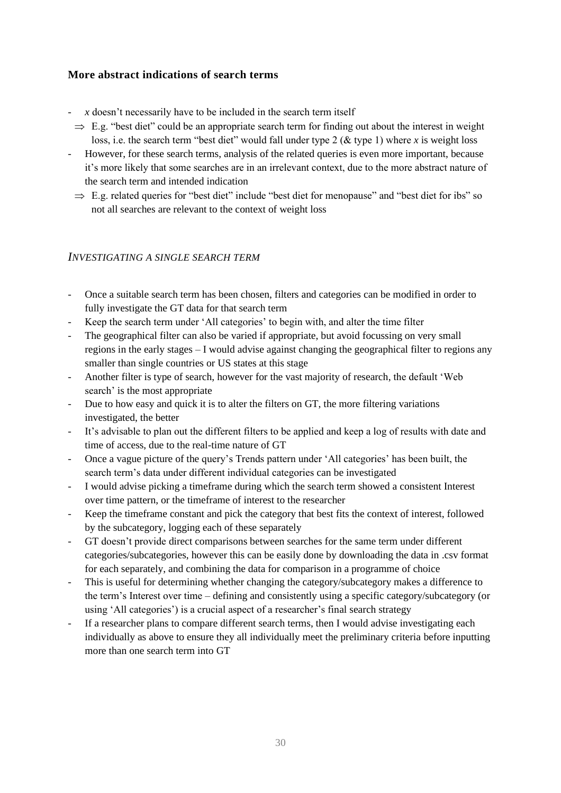# **More abstract indications of search terms**

- $x$  doesn't necessarily have to be included in the search term itself
- $\Rightarrow$  E.g. "best diet" could be an appropriate search term for finding out about the interest in weight loss, i.e. the search term "best diet" would fall under type 2 (& type 1) where *x* is weight loss
- However, for these search terms, analysis of the related queries is even more important, because it's more likely that some searches are in an irrelevant context, due to the more abstract nature of the search term and intended indication
	- $\Rightarrow$  E.g. related queries for "best diet" include "best diet for menopause" and "best diet for ibs" so not all searches are relevant to the context of weight loss

# <span id="page-30-0"></span>*INVESTIGATING A SINGLE SEARCH TERM*

- Once a suitable search term has been chosen, filters and categories can be modified in order to fully investigate the GT data for that search term
- Keep the search term under 'All categories' to begin with, and alter the time filter
- The geographical filter can also be varied if appropriate, but avoid focussing on very small regions in the early stages – I would advise against changing the geographical filter to regions any smaller than single countries or US states at this stage
- Another filter is type of search, however for the vast majority of research, the default 'Web search' is the most appropriate
- Due to how easy and quick it is to alter the filters on GT, the more filtering variations investigated, the better
- It's advisable to plan out the different filters to be applied and keep a log of results with date and time of access, due to the real-time nature of GT
- Once a vague picture of the query's Trends pattern under 'All categories' has been built, the search term's data under different individual categories can be investigated
- I would advise picking a timeframe during which the search term showed a consistent Interest over time pattern, or the timeframe of interest to the researcher
- Keep the timeframe constant and pick the category that best fits the context of interest, followed by the subcategory, logging each of these separately
- GT doesn't provide direct comparisons between searches for the same term under different categories/subcategories, however this can be easily done by downloading the data in .csv format for each separately, and combining the data for comparison in a programme of choice
- This is useful for determining whether changing the category/subcategory makes a difference to the term's Interest over time – defining and consistently using a specific category/subcategory (or using 'All categories') is a crucial aspect of a researcher's final search strategy
- If a researcher plans to compare different search terms, then I would advise investigating each individually as above to ensure they all individually meet the preliminary criteria before inputting more than one search term into GT